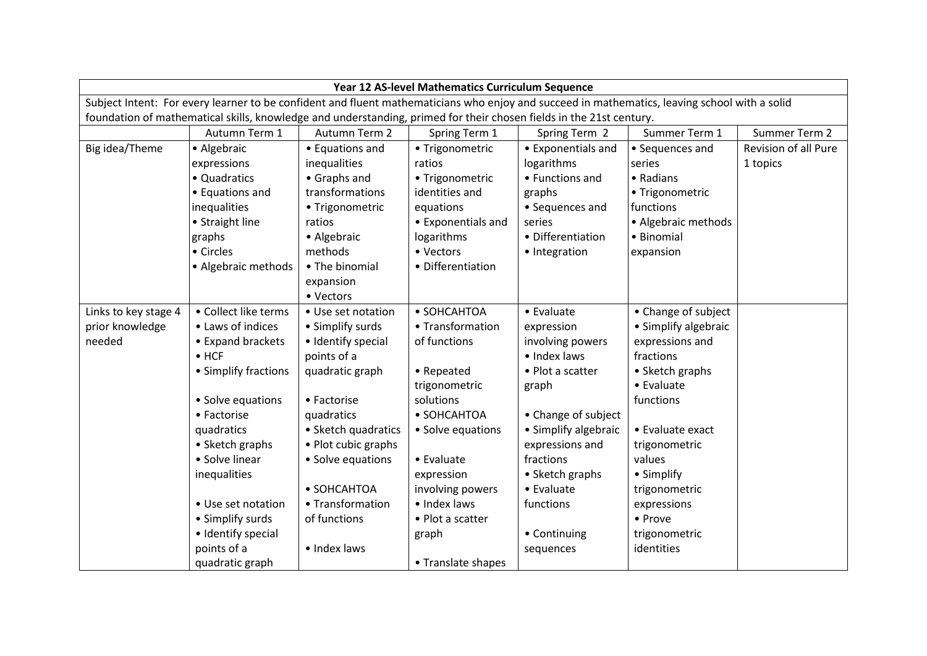| Year 12 AS-level Mathematics Curriculum Sequence                                                                                              |                      |                     |                    |                      |                      |                      |  |  |  |  |
|-----------------------------------------------------------------------------------------------------------------------------------------------|----------------------|---------------------|--------------------|----------------------|----------------------|----------------------|--|--|--|--|
| Subject Intent: For every learner to be confident and fluent mathematicians who enjoy and succeed in mathematics, leaving school with a solid |                      |                     |                    |                      |                      |                      |  |  |  |  |
| foundation of mathematical skills, knowledge and understanding, primed for their chosen fields in the 21st century.                           |                      |                     |                    |                      |                      |                      |  |  |  |  |
|                                                                                                                                               | Autumn Term 1        | Autumn Term 2       | Spring Term 1      | Spring Term 2        | Summer Term 1        | Summer Term 2        |  |  |  |  |
| Big idea/Theme                                                                                                                                | • Algebraic          | • Equations and     | • Trigonometric    | • Exponentials and   | • Sequences and      | Revision of all Pure |  |  |  |  |
|                                                                                                                                               | expressions          | inequalities        | ratios             | logarithms           | series               | 1 topics             |  |  |  |  |
|                                                                                                                                               | • Quadratics         | • Graphs and        | • Trigonometric    | • Functions and      | • Radians            |                      |  |  |  |  |
|                                                                                                                                               | • Equations and      | transformations     | identities and     | graphs               | • Trigonometric      |                      |  |  |  |  |
|                                                                                                                                               | inequalities         | • Trigonometric     | equations          | • Sequences and      | functions            |                      |  |  |  |  |
|                                                                                                                                               | • Straight line      | ratios              | • Exponentials and | series               | · Algebraic methods  |                      |  |  |  |  |
|                                                                                                                                               | graphs               | • Algebraic         | logarithms         | • Differentiation    | • Binomial           |                      |  |  |  |  |
|                                                                                                                                               | • Circles            | methods             | • Vectors          | • Integration        | expansion            |                      |  |  |  |  |
|                                                                                                                                               | • Algebraic methods  | • The binomial      | • Differentiation  |                      |                      |                      |  |  |  |  |
|                                                                                                                                               |                      | expansion           |                    |                      |                      |                      |  |  |  |  |
|                                                                                                                                               |                      | • Vectors           |                    |                      |                      |                      |  |  |  |  |
| Links to key stage 4                                                                                                                          | • Collect like terms | • Use set notation  | • SOHCAHTOA        | • Evaluate           | • Change of subject  |                      |  |  |  |  |
| prior knowledge                                                                                                                               | • Laws of indices    | • Simplify surds    | • Transformation   | expression           | • Simplify algebraic |                      |  |  |  |  |
| needed                                                                                                                                        | • Expand brackets    | • Identify special  | of functions       | involving powers     | expressions and      |                      |  |  |  |  |
|                                                                                                                                               | $\bullet$ HCF        | points of a         |                    | · Index laws         | fractions            |                      |  |  |  |  |
|                                                                                                                                               | • Simplify fractions | quadratic graph     | • Repeated         | • Plot a scatter     | • Sketch graphs      |                      |  |  |  |  |
|                                                                                                                                               |                      |                     | trigonometric      | graph                | • Evaluate           |                      |  |  |  |  |
|                                                                                                                                               | • Solve equations    | • Factorise         | solutions          |                      | functions            |                      |  |  |  |  |
|                                                                                                                                               | • Factorise          | quadratics          | • SOHCAHTOA        | • Change of subject  |                      |                      |  |  |  |  |
|                                                                                                                                               | quadratics           | • Sketch quadratics | • Solve equations  | • Simplify algebraic | • Evaluate exact     |                      |  |  |  |  |
|                                                                                                                                               | • Sketch graphs      | • Plot cubic graphs |                    | expressions and      | trigonometric        |                      |  |  |  |  |
|                                                                                                                                               | • Solve linear       | • Solve equations   | • Evaluate         | fractions            | values               |                      |  |  |  |  |
|                                                                                                                                               | inequalities         |                     | expression         | • Sketch graphs      | • Simplify           |                      |  |  |  |  |
|                                                                                                                                               |                      | • SOHCAHTOA         | involving powers   | • Evaluate           | trigonometric        |                      |  |  |  |  |
|                                                                                                                                               | • Use set notation   | • Transformation    | · Index laws       | functions            | expressions          |                      |  |  |  |  |
|                                                                                                                                               | • Simplify surds     | of functions        | • Plot a scatter   |                      | • Prove              |                      |  |  |  |  |
|                                                                                                                                               | · Identify special   |                     | graph              | • Continuing         | trigonometric        |                      |  |  |  |  |
|                                                                                                                                               | points of a          | • Index laws        |                    | sequences            | identities           |                      |  |  |  |  |
|                                                                                                                                               | quadratic graph      |                     | • Translate shapes |                      |                      |                      |  |  |  |  |